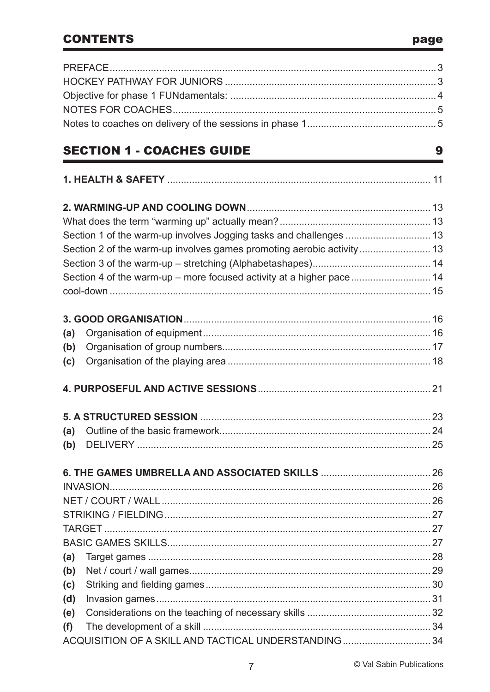## **CONTENTS**

|     | <b>SECTION 1 - COACHES GUIDE</b>                                      | 9 |
|-----|-----------------------------------------------------------------------|---|
|     |                                                                       |   |
|     |                                                                       |   |
|     |                                                                       |   |
|     | Section 1 of the warm-up involves Jogging tasks and challenges  13    |   |
|     | Section 2 of the warm-up involves games promoting aerobic activity 13 |   |
|     |                                                                       |   |
|     | Section 4 of the warm-up - more focused activity at a higher pace 14  |   |
|     |                                                                       |   |
|     |                                                                       |   |
| (a) |                                                                       |   |
| (b) |                                                                       |   |
| (c) |                                                                       |   |
|     |                                                                       |   |
|     |                                                                       |   |
| (a) |                                                                       |   |
| (b) |                                                                       |   |
|     |                                                                       |   |
|     |                                                                       |   |
|     |                                                                       |   |
|     |                                                                       |   |
|     |                                                                       |   |
|     |                                                                       |   |
| (a) |                                                                       |   |
| (b) |                                                                       |   |
| (c) |                                                                       |   |
| (d) |                                                                       |   |
| (e) |                                                                       |   |
| (f) |                                                                       |   |
|     | ACQUISITION OF A SKILL AND TACTICAL UNDERSTANDING  34                 |   |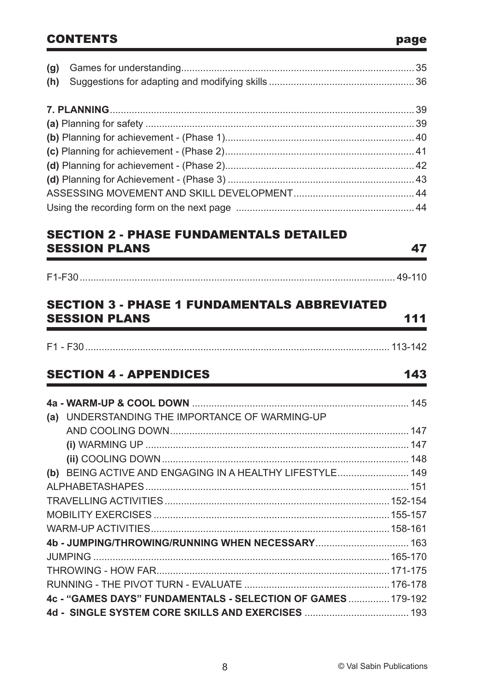### CONTENTS page

### SECTION 2 - PHASE FUNDAMENTALS DETAILED SESSION PLANS 47

| $F1-F30$ |  |
|----------|--|
|          |  |

## SECTION 3 - PHASE 1 FUNDAMENTALS ABBREVIATED SESSION PLANS 111

| <b>E1</b> | ا ۱۳۶۰ - ۱۳۰۰ - ۱۳۰۰ - ۱۳۰۰ - ۱۳۰۰ - ۱۳۰۰ - ۱۳۰۰ - ۱۳۰۰ - ۱۳۰۰ - ۱۳۰۰ - ۱۳۰۰ - ۱۳۰۰ - ۱۳۰۰ - ۱۳۰۰ - ۱۳۰۰ - ۱۳ |  |
|-----------|---------------------------------------------------------------------------------------------------------------|--|

## SECTION 4 - APPENDICES 143

| UNDERSTANDING THE IMPORTANCE OF WARMING-UP<br>(a)            |  |
|--------------------------------------------------------------|--|
|                                                              |  |
|                                                              |  |
|                                                              |  |
| (b) BEING ACTIVE AND ENGAGING IN A HEALTHY LIFESTYLE 149     |  |
|                                                              |  |
|                                                              |  |
|                                                              |  |
|                                                              |  |
|                                                              |  |
|                                                              |  |
|                                                              |  |
|                                                              |  |
| 4c - "GAMES DAYS" FUNDAMENTALS - SELECTION OF GAMES  179-192 |  |
|                                                              |  |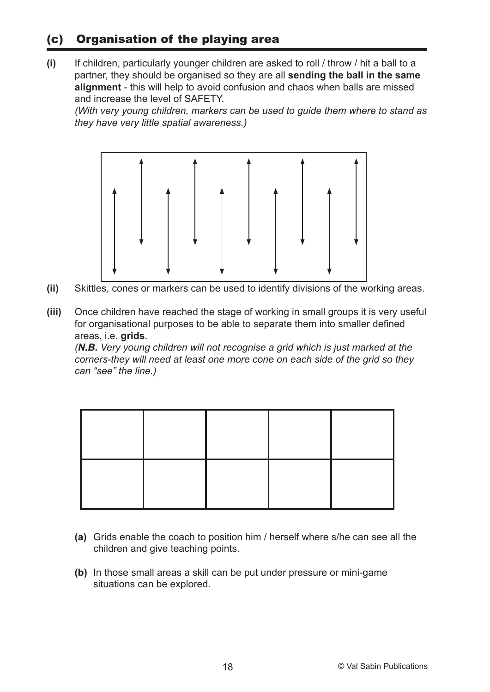## (c) Organisation of the playing area

**(i)** If children, particularly younger children are asked to roll / throw / hit a ball to a partner, they should be organised so they are all **sending the ball in the same alignment** - this will help to avoid confusion and chaos when balls are missed and increase the level of SAFETY.

*(With very young children, markers can be used to guide them where to stand as they have very little spatial awareness.)*



- **(ii)** Skittles, cones or markers can be used to identify divisions of the working areas.
- **(iii)** Once children have reached the stage of working in small groups it is very useful for organisational purposes to be able to separate them into smaller defined areas, i.e. **grids**.

*(N.B. Very young children will not recognise a grid which is just marked at the corners-they will need at least one more cone on each side of the grid so they can "see" the line.)*

- **(a)** Grids enable the coach to position him / herself where s/he can see all the children and give teaching points.
- **(b)** In those small areas a skill can be put under pressure or mini-game situations can be explored.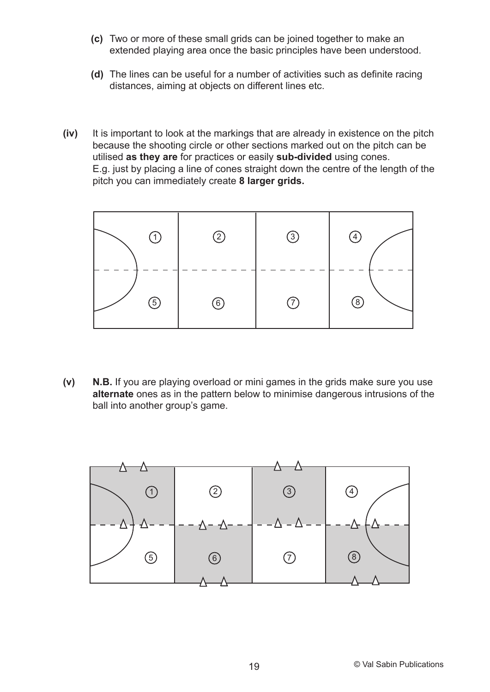- **(c)** Two or more of these small grids can be joined together to make an extended playing area once the basic principles have been understood.
- **(d)** The lines can be useful for a number of activities such as definite racing distances, aiming at objects on different lines etc.
- **(iv)** It is important to look at the markings that are already in existence on the pitch because the shooting circle or other sections marked out on the pitch can be utilised **as they are** for practices or easily **sub-divided** using cones. E.g. just by placing a line of cones straight down the centre of the length of the pitch you can immediately create **8 larger grids.**



**(v) N.B.** If you are playing overload or mini games in the grids make sure you use **alternate** ones as in the pattern below to minimise dangerous intrusions of the ball into another group's game.

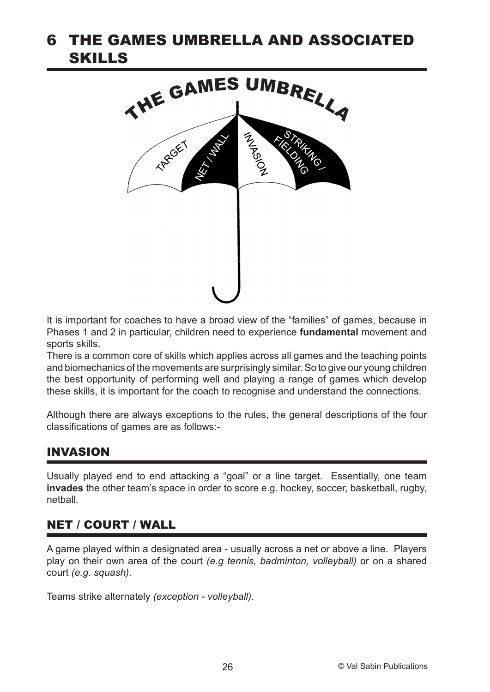## 6 THE GAMES UMBRELLA AND ASSOCIATED SKILLS



It is important for coaches to have a broad view of the "families" of games, because in Phases 1 and 2 in particular, children need to experience **fundamental** movement and sports skills.

There is a common core of skills which applies across all games and the teaching points and biomechanics of the movements are surprisingly similar. So to give our young children the best opportunity of performing well and playing a range of games which develop these skills, it is important for the coach to recognise and understand the connections.

Although there are always exceptions to the rules, the general descriptions of the four classifications of games are as follows:-

### INVASION

Usually played end to end attacking a "goal" or a line target. Essentially, one team **invades** the other team's space in order to score e.g. hockey, soccer, basketball, rugby, netball.

### NET / COURT / WALL

A game played within a designated area - usually across a net or above a line. Players play on their own area of the court *(e.g tennis, badminton, volleyball)* or on a shared court *(e.g. squash)*.

Teams strike alternately *(exception - volleyball)*.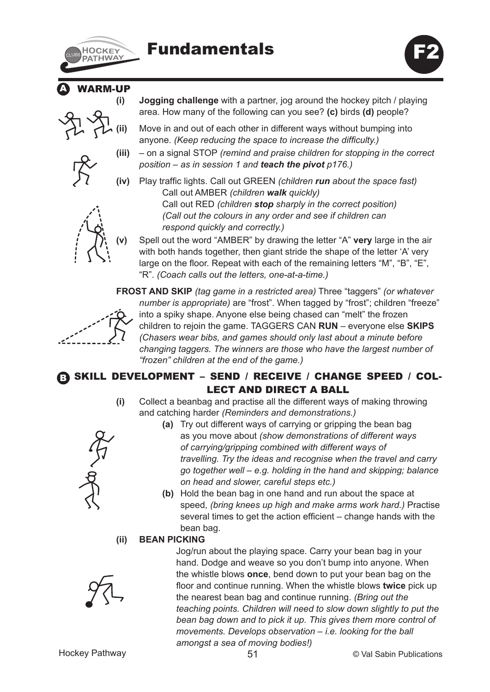

# **HOCKEY Fundamentals**

### **VARM-UP**





area. How many of the following can you see? **(c)** birds **(d)** people?

- **(iii)** on a signal STOP *(remind and praise children for stopping in the correct position – as in session 1 and teach the pivot p176.)*
- **(iv)** Play traffic lights. Call out GREEN *(children run about the space fast)* Call out AMBER *(children walk quickly)* Call out RED *(children stop sharply in the correct position) (Call out the colours in any order and see if children can respond quickly and correctly.)*

**(v)** Spell out the word "AMBER" by drawing the letter "A" **very** large in the air with both hands together, then giant stride the shape of the letter 'A' very large on the floor. Repeat with each of the remaining letters "M", "B", "E", "R". *(Coach calls out the letters, one-at-a-time.)*

**FROST AND SKIP** *(tag game in a restricted area)* Three "taggers" *(or whatever number is appropriate)* are "frost". When tagged by "frost"; children "freeze" into a spiky shape. Anyone else being chased can "melt" the frozen children to rejoin the game. TAGGERS CAN **RUN** – everyone else **SKIPS** *(Chasers wear bibs, and games should only last about a minute before changing taggers. The winners are those who have the largest number of "frozen" children at the end of the game.)*

### B SKILL DEVELOPMENT – SEND / RECEIVE / CHANGE SPEED / COL-LECT AND DIRECT A BALL

**(i)** Collect a beanbag and practise all the different ways of making throwing and catching harder *(Reminders and demonstrations.)*



- **(a)** Try out different ways of carrying or gripping the bean bag as you move about *(show demonstrations of different ways of carrying/gripping combined with different ways of travelling. Try the ideas and recognise when the travel and carry go together well – e.g. holding in the hand and skipping; balance on head and slower, careful steps etc.)*
- **(b)** Hold the bean bag in one hand and run about the space at speed, *(bring knees up high and make arms work hard.)* Practise several times to get the action efficient – change hands with the bean bag.

#### **(ii) BEAN PICKING**



Jog/run about the playing space. Carry your bean bag in your hand. Dodge and weave so you don't bump into anyone. When the whistle blows **once**, bend down to put your bean bag on the floor and continue running. When the whistle blows **twice** pick up the nearest bean bag and continue running. *(Bring out the teaching points. Children will need to slow down slightly to put the bean bag down and to pick it up. This gives them more control of movements. Develops observation – i.e. looking for the ball amongst a sea of moving bodies!)*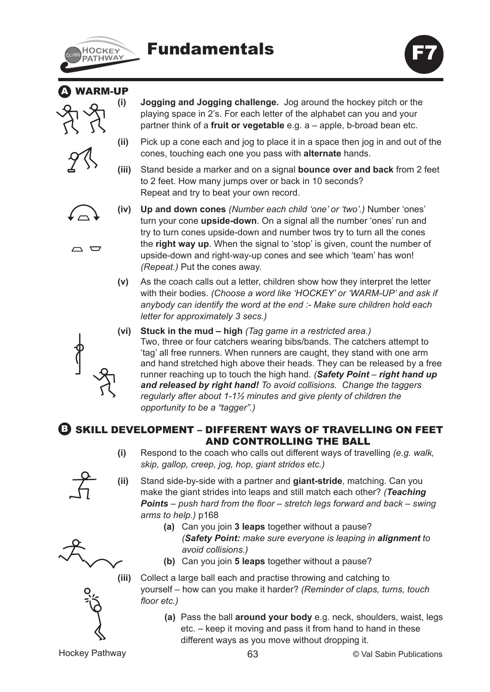

# **HOCKEY Fundamentals**



**WARM-UP** 

- **(i) Jogging and Jogging challenge.** Jog around the hockey pitch or the playing space in 2's. For each letter of the alphabet can you and your partner think of a **fruit or vegetable** e.g. a – apple, b-broad bean etc.
- **(ii)** Pick up a cone each and jog to place it in a space then jog in and out of the cones, touching each one you pass with **alternate** hands.
- **(iii)** Stand beside a marker and on a signal **bounce over and back** from 2 feet to 2 feet. How many jumps over or back in 10 seconds? Repeat and try to beat your own record.



 $\Box$   $\Box$ 

- **(iv) Up and down cones** *(Number each child 'one' or 'two'.)* Number 'ones' turn your cone **upside-down**. On a signal all the number 'ones' run and try to turn cones upside-down and number twos try to turn all the cones the **right way up**. When the signal to 'stop' is given, count the number of upside-down and right-way-up cones and see which 'team' has won! *(Repeat.)* Put the cones away.
- **(v)** As the coach calls out a letter, children show how they interpret the letter with their bodies. *(Choose a word like 'HOCKEY' or 'WARM-UP' and ask if anybody can identify the word at the end :- Make sure children hold each letter for approximately 3 secs.)*
- **(vi) Stuck in the mud high** *(Tag game in a restricted area.)* Two, three or four catchers wearing bibs/bands. The catchers attempt to 'tag' all free runners. When runners are caught, they stand with one arm and hand stretched high above their heads. They can be released by a free runner reaching up to touch the high hand. *(Safety Point – right hand up and released by right hand! To avoid collisions. Change the taggers regularly after about 1-1½ minutes and give plenty of children the opportunity to be a "tagger".)*

### B SKILL DEVELOPMENT – DIFFERENT WAYS OF TRAVELLING ON FEET AND CONTROLLING THE BALL

- **(i)** Respond to the coach who calls out different ways of travelling *(e.g. walk, skip, gallop, creep, jog, hop, giant strides etc.)*
- 
- **(ii)** Stand side-by-side with a partner and **giant-stride**, matching. Can you make the giant strides into leaps and still match each other? *(Teaching Points – push hard from the floor – stretch legs forward and back – swing arms to help.)* p168
	- **(a)** Can you join **3 leaps** together without a pause? *(Safety Point: make sure everyone is leaping in alignment to avoid collisions.)*
	- **(b)** Can you join **5 leaps** together without a pause?
- **(iii)** Collect a large ball each and practise throwing and catching to yourself – how can you make it harder? *(Reminder of claps, turns, touch floor etc.)*
	- **(a)** Pass the ball **around your body** e.g. neck, shoulders, waist, legs etc. – keep it moving and pass it from hand to hand in these different ways as you move without dropping it.

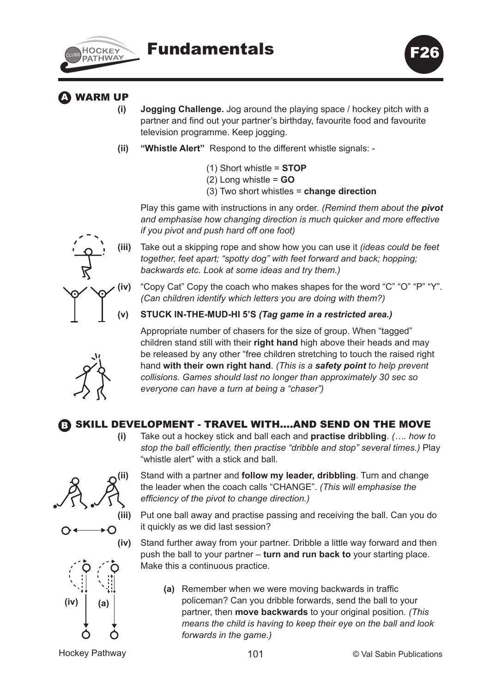



### WARM UP

- **(i) Jogging Challenge.** Jog around the playing space / hockey pitch with a partner and find out your partner's birthday, favourite food and favourite television programme. Keep jogging.
- **(ii) "Whistle Alert"** Respond to the different whistle signals:
	- (1) Short whistle = **STOP**
	- (2) Long whistle = **GO**
	- (3) Two short whistles = **change direction**

Play this game with instructions in any order. *(Remind them about the pivot and emphasise how changing direction is much quicker and more effective if you pivot and push hard off one foot)*

**(iii)** Take out a skipping rope and show how you can use it *(ideas could be feet together, feet apart; "spotty dog" with feet forward and back; hopping; backwards etc. Look at some ideas and try them.)*

**(iv)** "Copy Cat" Copy the coach who makes shapes for the word "C" "O" "P" "Y". *(Can children identify which letters you are doing with them?)*

#### **(v) STUCK IN-THE-MUD-HI 5'S** *(Tag game in a restricted area.)*

Appropriate number of chasers for the size of group. When "tagged" children stand still with their **right hand** high above their heads and may be released by any other "free children stretching to touch the raised right hand **with their own right hand**. *(This is a safety point to help prevent collisions. Games should last no longer than approximately 30 sec so everyone can have a turn at being a "chaser")*

### B SKILL DEVELOPMENT - TRAVEL WITH....AND SEND ON THE MOVE

**(i)** Take out a hockey stick and ball each and **practise dribbling**. *(…. how to stop the ball efficiently, then practise "dribble and stop" several times.)* Play "whistle alert" with a stick and ball.



**(ii)** Stand with a partner and **follow my leader, dribbling**. Turn and change the leader when the coach calls "CHANGE". *(This will emphasise the efficiency of the pivot to change direction.)*

**(iii)** Put one ball away and practise passing and receiving the ball. Can you do it quickly as we did last session?

**(iv)** Stand further away from your partner. Dribble a little way forward and then push the ball to your partner – **turn and run back to** your starting place. Make this a continuous practice.

> **(a)** Remember when we were moving backwards in traffic policeman? Can you dribble forwards, send the ball to your partner, then **move backwards** to your original position. *(This means the child is having to keep their eye on the ball and look forwards in the game.)*

**(iv) (a)**





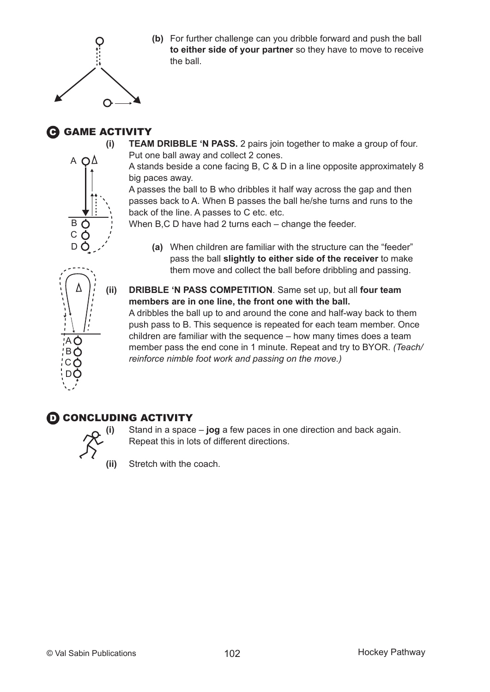

**(b)** For further challenge can you dribble forward and push the ball **to either side of your partner** so they have to move to receive the ball.

### **G** GAME ACTIVITY

**(i) TEAM DRIBBLE 'N PASS.** 2 pairs join together to make a group of four. Put one ball away and collect 2 cones.

A stands beside a cone facing B, C & D in a line opposite approximately 8 big paces away.

A passes the ball to B who dribbles it half way across the gap and then passes back to A. When B passes the ball he/she turns and runs to the back of the line. A passes to C etc. etc.

When B,C D have had 2 turns each – change the feeder.

- **(a)** When children are familiar with the structure can the "feeder" pass the ball **slightly to either side of the receiver** to make them move and collect the ball before dribbling and passing.
- **(ii) DRIBBLE 'N PASS COMPETITION**. Same set up, but all **four team members are in one line, the front one with the ball.** A dribbles the ball up to and around the cone and half-way back to them

push pass to B. This sequence is repeated for each team member. Once children are familiar with the sequence – how many times does a team member pass the end cone in 1 minute. Repeat and try to BYOR. *(Teach/ reinforce nimble foot work and passing on the move.)*

### **D CONCLUDING ACTIVITY**



**(i)** Stand in a space – **jog** a few paces in one direction and back again. Repeat this in lots of different directions.

**(ii)** Stretch with the coach.



C D

Δ

A B C D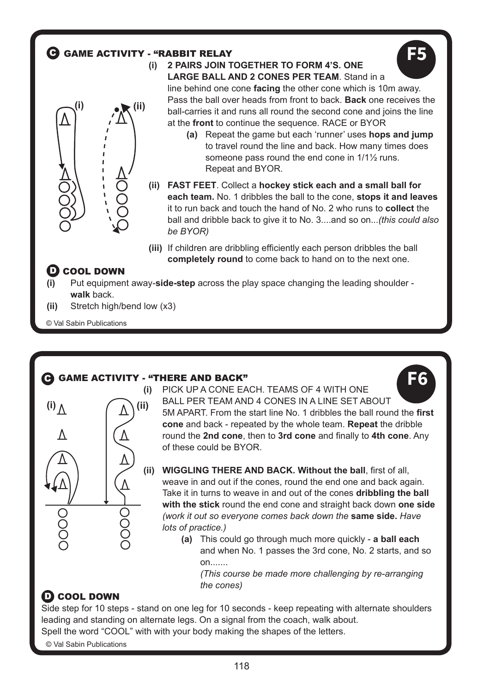# G GAME ACTIVITY - "RABBIT RELAY<br>Fairs Join T



## **(i) 2 PAIRS JOIN TOGETHER TO FORM 4'S. ONE**



**LARGE BALL AND 2 CONES PER TEAM**. Stand in a line behind one cone **facing** the other cone which is 10m away. Pass the ball over heads from front to back. **Back** one receives the ball-carries it and runs all round the second cone and joins the line at the **front** to continue the sequence. RACE or BYOR

- **(a)** Repeat the game but each 'runner' uses **hops and jump** to travel round the line and back. How many times does someone pass round the end cone in 1/1½ runs. Repeat and BYOR.
- **(ii) FAST FEET**. Collect a **hockey stick each and a small ball for each team.** No. 1 dribbles the ball to the cone, **stops it and leaves** it to run back and touch the hand of No. 2 who runs to **collect** the ball and dribble back to give it to No. 3....and so on...*(this could also be BYOR)*
- **(iii)** If children are dribbling efficiently each person dribbles the ball **completely round** to come back to hand on to the next one.

### D COOL DOWN

- **(i)** Put equipment away-**side-step** across the play space changing the leading shoulder **walk** back.
- **(ii)** Stretch high/bend low (x3)
- © Val Sabin Publications

### C GAME ACTIVITY - "THERE AND BACK"



**(i)** PICK UP A CONE EACH. TEAMS OF 4 WITH ONE BALL PER TEAM AND 4 CONES IN A LINE SET ABOUT



5M APART. From the start line No. 1 dribbles the ball round the **first cone** and back - repeated by the whole team. **Repeat** the dribble round the **2nd cone**, then to **3rd cone** and finally to **4th cone**. Any of these could be BYOR.

**(ii) WIGGLING THERE AND BACK. Without the ball**, first of all, weave in and out if the cones, round the end one and back again. Take it in turns to weave in and out of the cones **dribbling the ball with the stick** round the end cone and straight back down **one side** *(work it out so everyone comes back down the* **same side.** *Have lots of practice.)*

**(a)** This could go through much more quickly - **a ball each** and when No. 1 passes the 3rd cone, No. 2 starts, and so on.......

*(This course be made more challenging by re-arranging the cones)*

## D COOL DOWN

Side step for 10 steps - stand on one leg for 10 seconds - keep repeating with alternate shoulders leading and standing on alternate legs. On a signal from the coach, walk about. Spell the word "COOL" with with your body making the shapes of the letters.

© Val Sabin Publications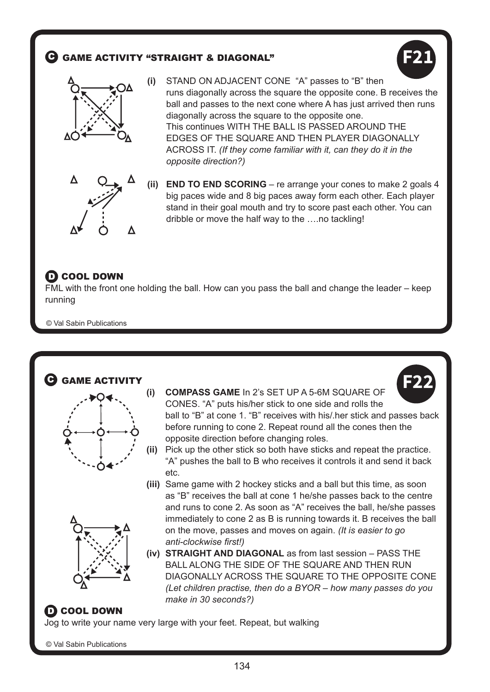### **GAME ACTIVITY "STRAIGHT & DIAGONAL"**









**(ii) END TO END SCORING** – re arrange your cones to make 2 goals 4 big paces wide and 8 big paces away form each other. Each player stand in their goal mouth and try to score past each other. You can dribble or move the half way to the ….no tackling!

### D COOL DOWN

FML with the front one holding the ball. How can you pass the ball and change the leader – keep running

© Val Sabin Publications

### **GAME ACTIVITY**





**F22 (i) COMPASS GAME** In 2's SET UP A 5-6M SQUARE OF CONES. "A" puts his/her stick to one side and rolls the ball to "B" at cone 1. "B" receives with his/.her stick and passes back before running to cone 2. Repeat round all the cones then the opposite direction before changing roles.

- **(ii)** Pick up the other stick so both have sticks and repeat the practice. "A" pushes the ball to B who receives it controls it and send it back etc.
- **(iii)** Same game with 2 hockey sticks and a ball but this time, as soon as "B" receives the ball at cone 1 he/she passes back to the centre and runs to cone 2. As soon as "A" receives the ball, he/she passes immediately to cone 2 as B is running towards it. B receives the ball on the move, passes and moves on again. *(It is easier to go anti-clockwise first!)*
- **(iv) STRAIGHT AND DIAGONAL** as from last session PASS THE BALL ALONG THE SIDE OF THE SQUARE AND THEN RUN DIAGONALLY ACROSS THE SQUARE TO THE OPPOSITE CONE *(Let children practise, then do a BYOR – how many passes do you make in 30 seconds?)*

## D COOL DOWN

Jog to write your name very large with your feet. Repeat, but walking

© Val Sabin Publications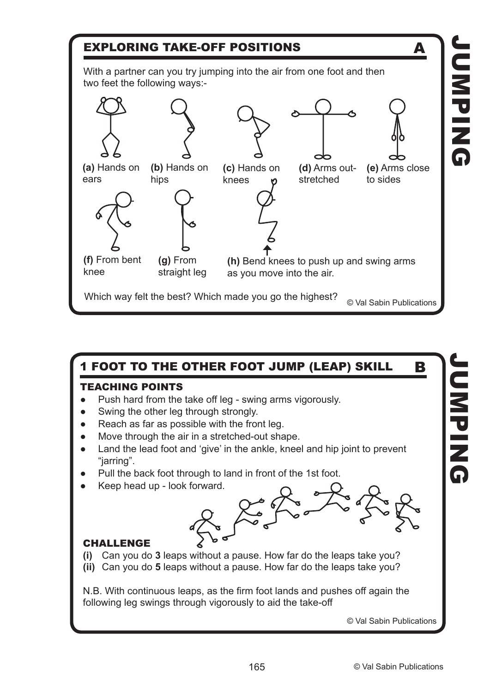

## 1 FOOT TO THE OTHER FOOT JUMP (LEAP) SKILL

### TEACHING POINTS

- Push hard from the take off leg swing arms vigorously.
- Swing the other leg through strongly.
- Reach as far as possible with the front leg.
- Move through the air in a stretched-out shape.
- Land the lead foot and 'give' in the ankle, kneel and hip joint to prevent "jarring".
- Pull the back foot through to land in front of the 1st foot.
- Keep head up look forward.



## CHALLENGE

- **(i)** Can you do **3** leaps without a pause. How far do the leaps take you?
- **(ii)** Can you do **5** leaps without a pause. How far do the leaps take you?

N.B. With continuous leaps, as the firm foot lands and pushes off again the following leg swings through vigorously to aid the take-off

© Val Sabin Publications

B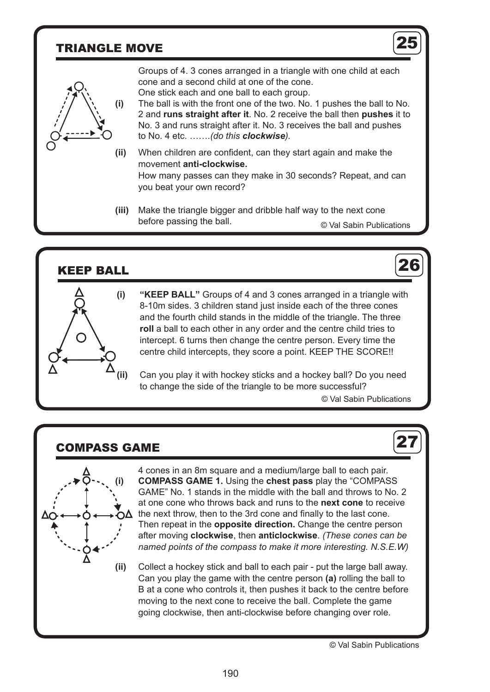### TRIANGLE MOVE



Groups of 4. 3 cones arranged in a triangle with one child at each cone and a second child at one of the cone. One stick each and one ball to each group.

**(i)** The ball is with the front one of the two. No. 1 pushes the ball to No. 2 and **runs straight after it**. No. 2 receive the ball then **pushes** it to No. 3 and runs straight after it. No. 3 receives the ball and pushes to No. 4 etc. …….*(do this clockwise).*

**(ii)** When children are confident, can they start again and make the movement **anti-clockwise.**

How many passes can they make in 30 seconds? Repeat, and can you beat your own record?

**(iii)** Make the triangle bigger and dribble half way to the next cone before passing the ball. © Val Sabin Publications

### KEEP BALL



**(i) "KEEP BALL"** Groups of 4 and 3 cones arranged in a triangle with 8-10m sides. 3 children stand just inside each of the three cones and the fourth child stands in the middle of the triangle. The three **roll** a ball to each other in any order and the centre child tries to intercept. 6 turns then change the centre person. Every time the centre child intercepts, they score a point. KEEP THE SCORE!!

**(ii)** Can you play it with hockey sticks and a hockey ball? Do you need to change the side of the triangle to be more successful?

© Val Sabin Publications

25

26

27

### COMPASS GAME



4 cones in an 8m square and a medium/large ball to each pair. **(i) COMPASS GAME 1.** Using the **chest pass** play the "COMPASS GAME" No. 1 stands in the middle with the ball and throws to No. 2 at one cone who throws back and runs to the **next cone** to receive the next throw, then to the 3rd cone and finally to the last cone. Then repeat in the **opposite direction.** Change the centre person after moving **clockwise**, then **anticlockwise**. *(These cones can be named points of the compass to make it more interesting. N.S.E.W)*

**(ii)** Collect a hockey stick and ball to each pair - put the large ball away. Can you play the game with the centre person **(a)** rolling the ball to B at a cone who controls it, then pushes it back to the centre before moving to the next cone to receive the ball. Complete the game going clockwise, then anti-clockwise before changing over role.